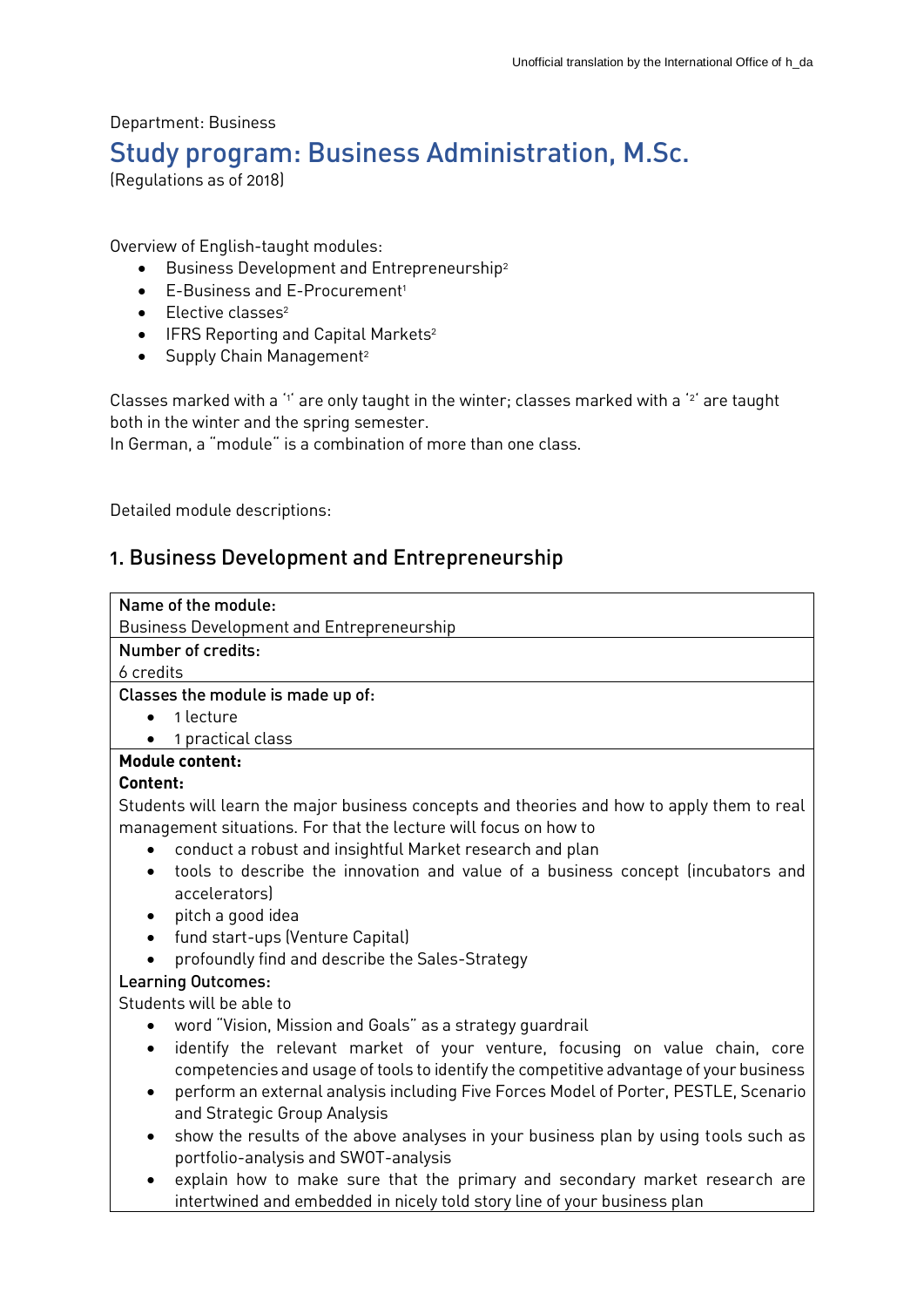# Department: Business Study program: Business Administration, M.Sc.

(Regulations as of 2018)

Overview of English-taught modules:

- **Business Development and Entrepreneurship**<sup>2</sup>
- E-Business and E-Procurement<sup>1</sup>
- $\bullet$  Elective classes<sup>2</sup>
- $\bullet$  IFRS Reporting and Capital Markets<sup>2</sup>
- $\bullet$  Supply Chain Management<sup>2</sup>

Classes marked with a  $1$  are only taught in the winter; classes marked with a  $2$  are taught both in the winter and the spring semester.

In German, a "module" is a combination of more than one class.

Detailed module descriptions:

## 1. Business Development and Entrepreneurship

| Name of the module:                                                                                                                                                        |
|----------------------------------------------------------------------------------------------------------------------------------------------------------------------------|
| Business Development and Entrepreneurship                                                                                                                                  |
| Number of credits:                                                                                                                                                         |
| 6 credits                                                                                                                                                                  |
| Classes the module is made up of:                                                                                                                                          |
| 1 lecture                                                                                                                                                                  |
| 1 practical class                                                                                                                                                          |
| <b>Module content:</b>                                                                                                                                                     |
| Content:                                                                                                                                                                   |
| Students will learn the major business concepts and theories and how to apply them to real<br>management situations. For that the lecture will focus on how to             |
| conduct a robust and insightful Market research and plan                                                                                                                   |
| tools to describe the innovation and value of a business concept (incubators and<br>$\bullet$<br>accelerators)                                                             |
| pitch a good idea<br>$\bullet$                                                                                                                                             |
| fund start-ups (Venture Capital)<br>$\bullet$                                                                                                                              |
| profoundly find and describe the Sales-Strategy                                                                                                                            |
| <b>Learning Outcomes:</b>                                                                                                                                                  |
| Students will be able to                                                                                                                                                   |
| word "Vision, Mission and Goals" as a strategy guardrail                                                                                                                   |
| identify the relevant market of your venture, focusing on value chain, core<br>٠<br>competencies and usage of tools to identify the competitive advantage of your business |
| perform an external analysis including Five Forces Model of Porter, PESTLE, Scenario<br>$\bullet$<br>and Strategic Group Analysis                                          |
| show the results of the above analyses in your business plan by using tools such as<br>$\bullet$<br>portfolio-analysis and SWOT-analysis                                   |
| explain how to make sure that the primary and secondary market research are<br>intertwined and embedded in nicely told story line of your business plan                    |
|                                                                                                                                                                            |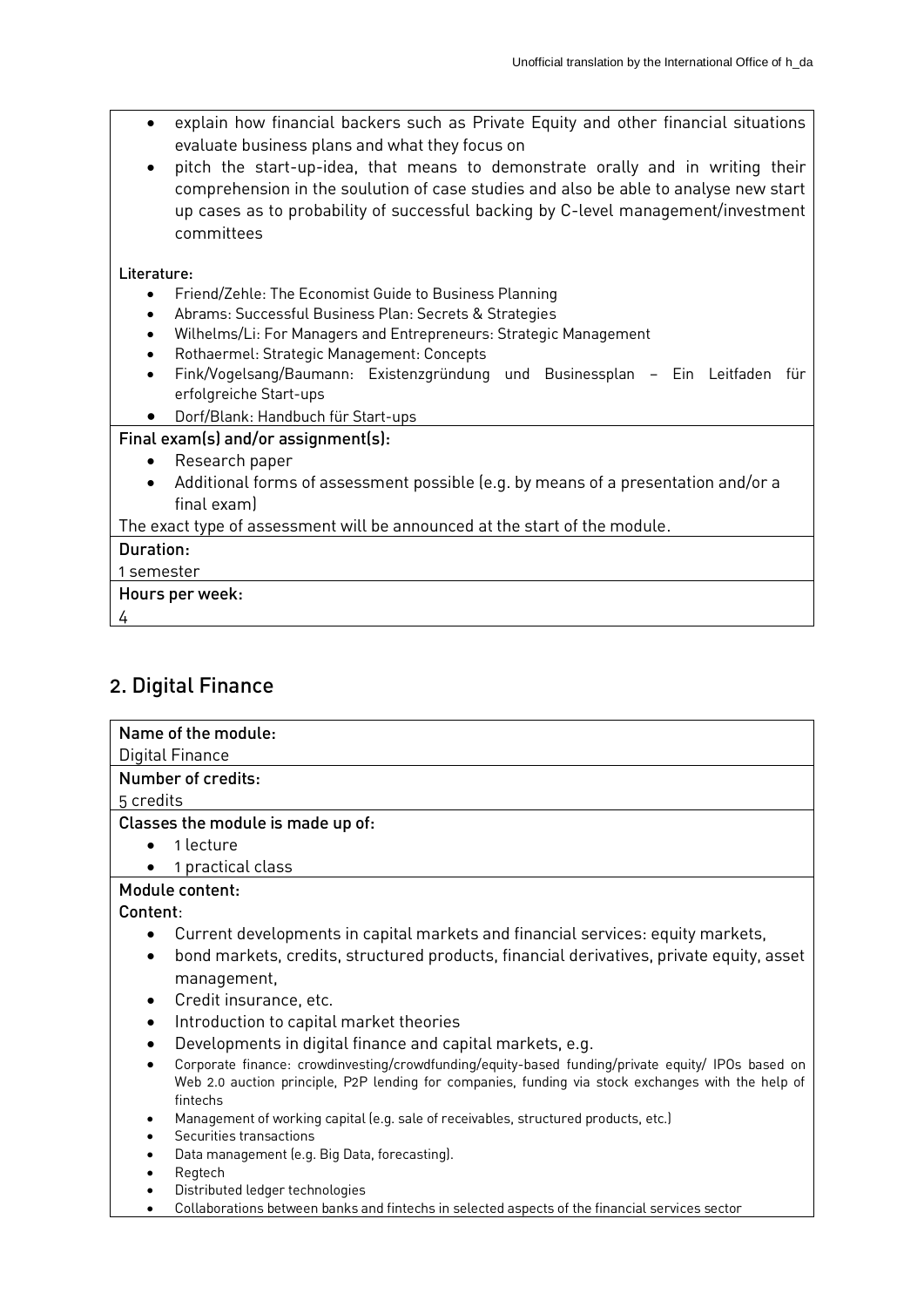- explain how financial backers such as Private Equity and other financial situations evaluate business plans and what they focus on
- pitch the start-up-idea, that means to demonstrate orally and in writing their comprehension in the soulution of case studies and also be able to analyse new start up cases as to probability of successful backing by C-level management/investment committees

#### Literature:

- Friend/Zehle: The Economist Guide to Business Planning
- Abrams: Successful Business Plan: Secrets & Strategies
- Wilhelms/Li: For Managers and Entrepreneurs: Strategic Management
- Rothaermel: Strategic Management: Concepts
- Fink/Vogelsang/Baumann: Existenzgründung und Businessplan Ein Leitfaden für erfolgreiche Start-ups
- Dorf/Blank: Handbuch für Start-ups

#### Final exam(s) and/or assignment(s):

- Research paper
- Additional forms of assessment possible (e.g. by means of a presentation and/or a final exam)

The exact type of assessment will be announced at the start of the module.

#### Duration:

#### 1 semester

#### Hours per week:

4

## 2. Digital Finance

| Name of the module:                                                                                   |
|-------------------------------------------------------------------------------------------------------|
| Digital Finance                                                                                       |
| Number of credits:                                                                                    |
| 5 credits                                                                                             |
| Classes the module is made up of:                                                                     |
| 1 lecture<br>$\bullet$                                                                                |
| 1 practical class                                                                                     |
| Module content:                                                                                       |
| Content:                                                                                              |
| Current developments in capital markets and financial services: equity markets,                       |
| bond markets, credits, structured products, financial derivatives, private equity, asset<br>$\bullet$ |
| management,                                                                                           |
| Credit insurance, etc.<br>$\bullet$                                                                   |
| Introduction to capital market theories<br>٠                                                          |
| Developments in digital finance and capital markets, e.g.                                             |
| Corporate finance: crowdinvesting/crowdfunding/equity-based funding/private equity/ IPOs based on     |
| Web 2.0 auction principle, P2P lending for companies, funding via stock exchanges with the help of    |
| fintechs<br>Management of working capital (e.g. sale of receivables, structured products, etc.)       |
| Securities transactions                                                                               |
| Data management (e.g. Big Data, forecasting).                                                         |

- Regtech
- Distributed ledger technologies
- Collaborations between banks and fintechs in selected aspects of the financial services sector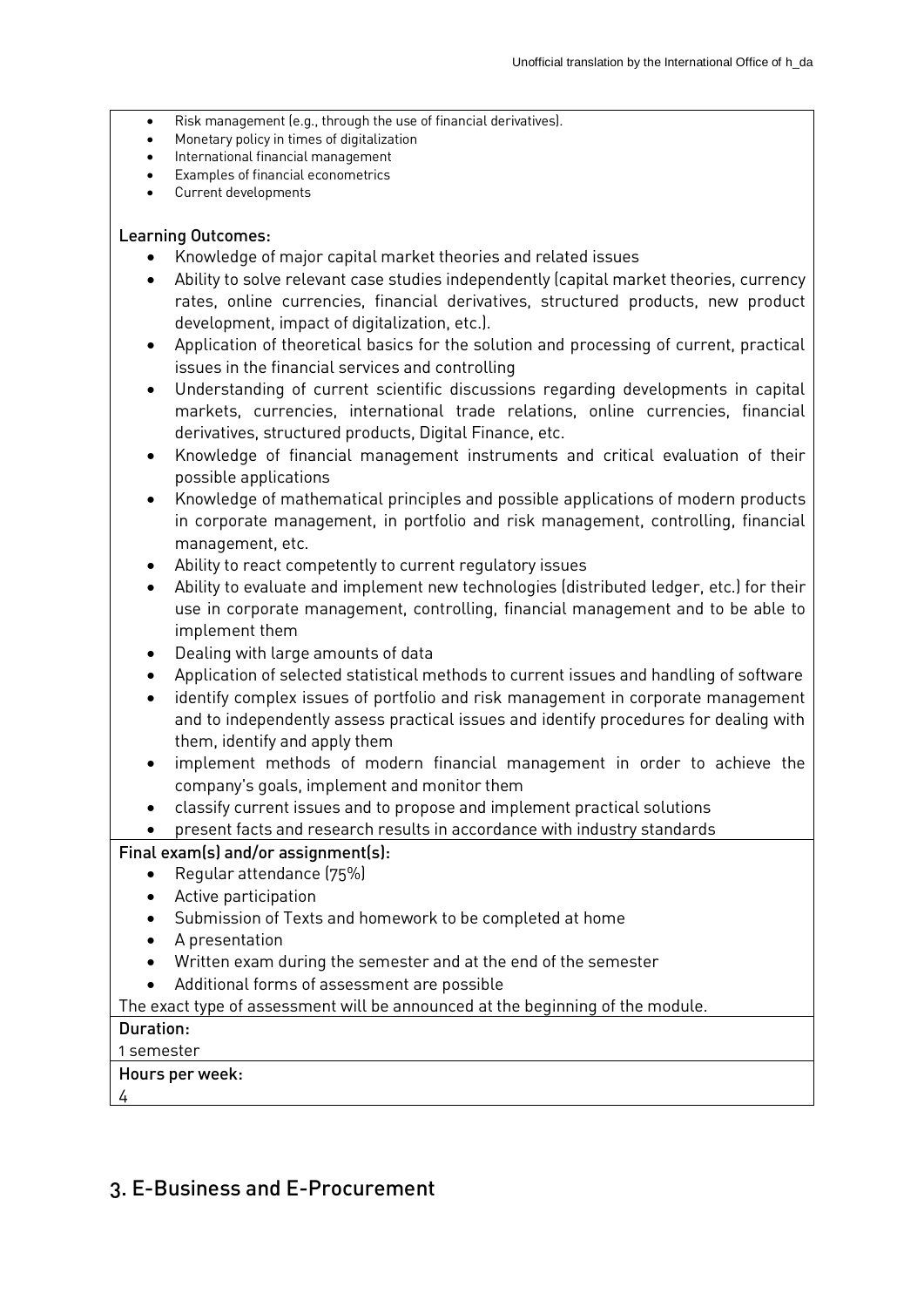- Risk management (e.g., through the use of financial derivatives).
- Monetary policy in times of digitalization
- International financial management
- Examples of financial econometrics
- Current developments

#### Learning Outcomes:

- Knowledge of major capital market theories and related issues
- Ability to solve relevant case studies independently (capital market theories, currency rates, online currencies, financial derivatives, structured products, new product development, impact of digitalization, etc.).
- Application of theoretical basics for the solution and processing of current, practical issues in the financial services and controlling
- Understanding of current scientific discussions regarding developments in capital markets, currencies, international trade relations, online currencies, financial derivatives, structured products, Digital Finance, etc.
- Knowledge of financial management instruments and critical evaluation of their possible applications
- Knowledge of mathematical principles and possible applications of modern products in corporate management, in portfolio and risk management, controlling, financial management, etc.
- Ability to react competently to current regulatory issues
- Ability to evaluate and implement new technologies (distributed ledger, etc.) for their use in corporate management, controlling, financial management and to be able to implement them
- Dealing with large amounts of data
- Application of selected statistical methods to current issues and handling of software
- identify complex issues of portfolio and risk management in corporate management and to independently assess practical issues and identify procedures for dealing with them, identify and apply them
- implement methods of modern financial management in order to achieve the company's goals, implement and monitor them
- classify current issues and to propose and implement practical solutions
- present facts and research results in accordance with industry standards

## Final exam(s) and/or assignment(s):

- Regular attendance (75%)
- Active participation
- Submission of Texts and homework to be completed at home
- A presentation
- Written exam during the semester and at the end of the semester
- Additional forms of assessment are possible

The exact type of assessment will be announced at the beginning of the module.

## Duration:

## 1 semester

## Hours per week:

4

## 3. E-Business and E-Procurement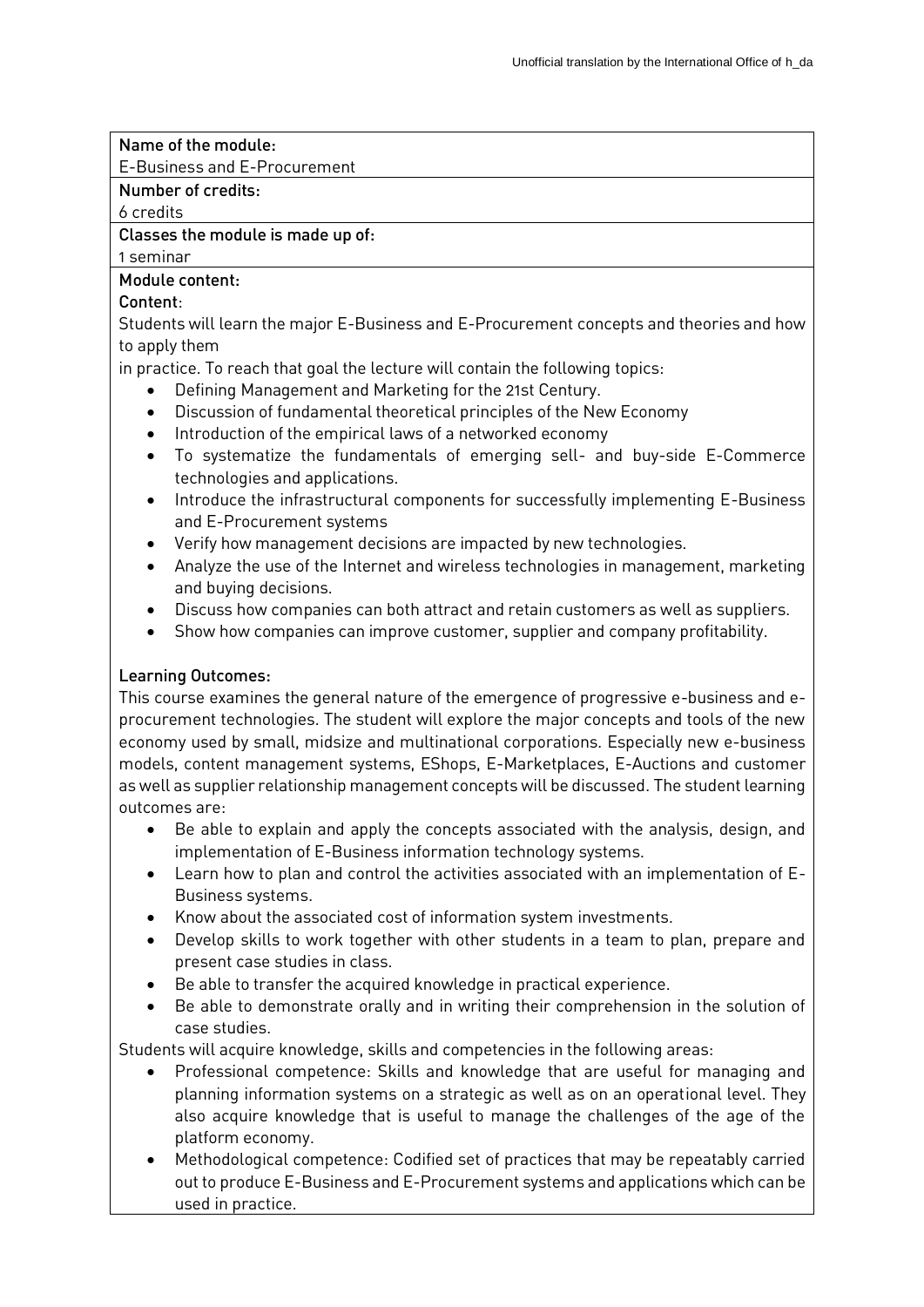## Name of the module:

E-Business and E-Procurement

## Number of credits:

6 credits

## Classes the module is made up of:

1 seminar

## Module content:

## Content:

Students will learn the major E-Business and E-Procurement concepts and theories and how to apply them

in practice. To reach that goal the lecture will contain the following topics:

- Defining Management and Marketing for the 21st Century.
- Discussion of fundamental theoretical principles of the New Economy
- Introduction of the empirical laws of a networked economy
- To systematize the fundamentals of emerging sell- and buy-side E-Commerce technologies and applications.
- Introduce the infrastructural components for successfully implementing E-Business and E-Procurement systems
- Verify how management decisions are impacted by new technologies.
- Analyze the use of the Internet and wireless technologies in management, marketing and buying decisions.
- Discuss how companies can both attract and retain customers as well as suppliers.
- Show how companies can improve customer, supplier and company profitability.

## Learning Outcomes:

This course examines the general nature of the emergence of progressive e-business and eprocurement technologies. The student will explore the major concepts and tools of the new economy used by small, midsize and multinational corporations. Especially new e-business models, content management systems, EShops, E-Marketplaces, E-Auctions and customer as well as supplier relationship management concepts will be discussed. The student learning outcomes are:

- Be able to explain and apply the concepts associated with the analysis, design, and implementation of E-Business information technology systems.
- Learn how to plan and control the activities associated with an implementation of E-Business systems.
- Know about the associated cost of information system investments.
- Develop skills to work together with other students in a team to plan, prepare and present case studies in class.
- Be able to transfer the acquired knowledge in practical experience.
- Be able to demonstrate orally and in writing their comprehension in the solution of case studies.

Students will acquire knowledge, skills and competencies in the following areas:

- Professional competence: Skills and knowledge that are useful for managing and planning information systems on a strategic as well as on an operational level. They also acquire knowledge that is useful to manage the challenges of the age of the platform economy.
- Methodological competence: Codified set of practices that may be repeatably carried out to produce E-Business and E-Procurement systems and applications which can be used in practice.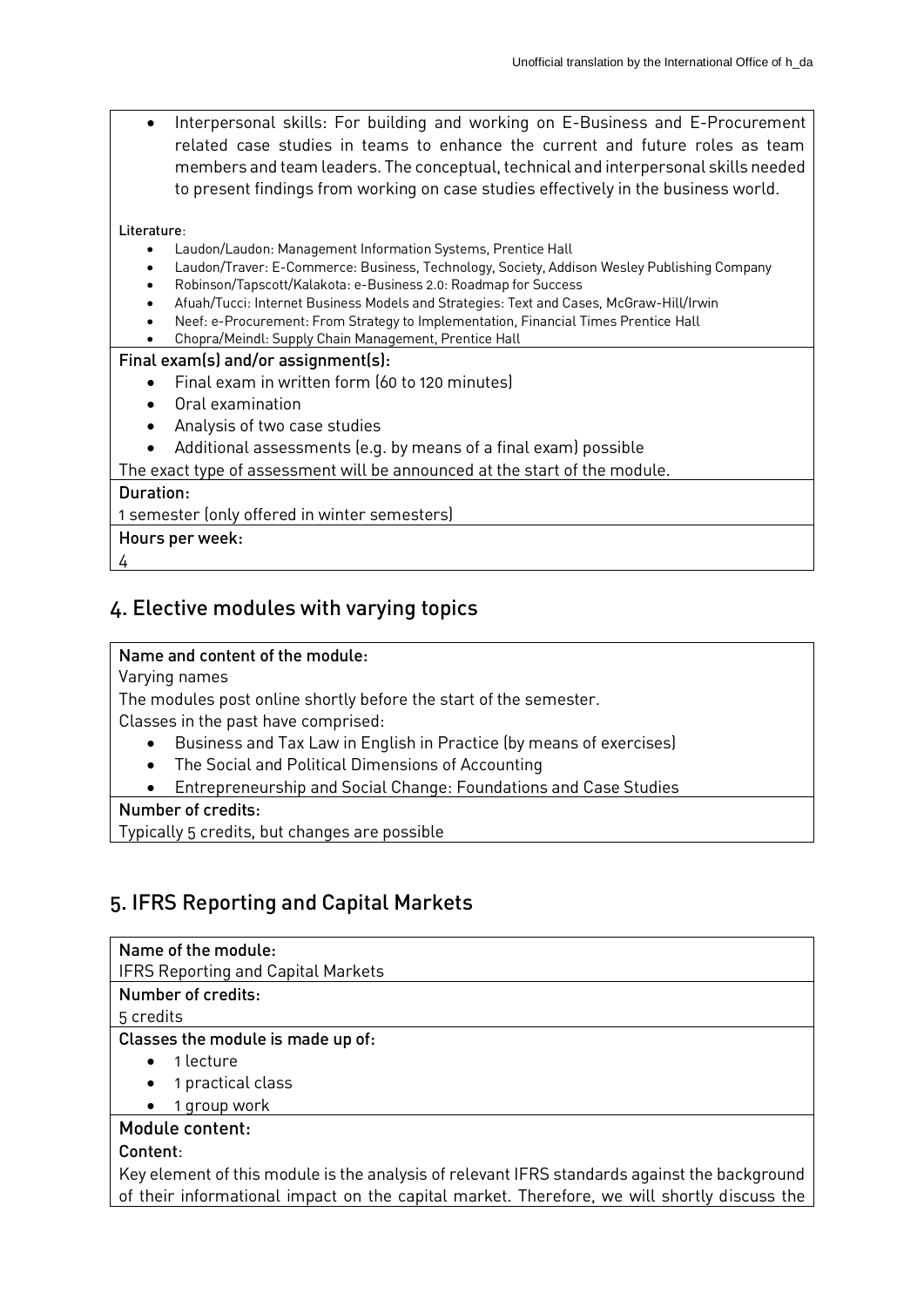Interpersonal skills: For building and working on E-Business and E-Procurement related case studies in teams to enhance the current and future roles as team members and team leaders. The conceptual, technical and interpersonal skills needed to present findings from working on case studies effectively in the business world.

#### Literature:

- Laudon/Laudon: Management Information Systems, Prentice Hall
- Laudon/Traver: E-Commerce: Business, Technology, Society, Addison Wesley Publishing Company
- Robinson/Tapscott/Kalakota: e-Business 2.0: Roadmap for Success
- Afuah/Tucci: Internet Business Models and Strategies: Text and Cases, McGraw-Hill/Irwin
- Neef: e-Procurement: From Strategy to Implementation, Financial Times Prentice Hall
- Chopra/Meindl: Supply Chain Management, Prentice Hall

#### Final exam(s) and/or assignment(s):

- Final exam in written form (60 to 120 minutes)
- Oral examination
- Analysis of two case studies
- Additional assessments (e.g. by means of a final exam) possible

The exact type of assessment will be announced at the start of the module.

#### Duration:

1 semester (only offered in winter semesters)

- Hours per week:
- 4

## 4. Elective modules with varying topics

## Name and content of the module:

Varying names

The modules post online shortly before the start of the semester.

Classes in the past have comprised:

- Business and Tax Law in English in Practice (by means of exercises)
- The Social and Political Dimensions of Accounting
- Entrepreneurship and Social Change: Foundations and Case Studies

## Number of credits:

Typically 5 credits, but changes are possible

## 5. IFRS Reporting and Capital Markets

## Name of the module:

IFRS Reporting and Capital Markets

## Number of credits:

5 credits

## Classes the module is made up of:

- 1 lecture
- 1 practical class
- 1 group work

## Module content:

## Content:

Key element of this module is the analysis of relevant IFRS standards against the background of their informational impact on the capital market. Therefore, we will shortly discuss the